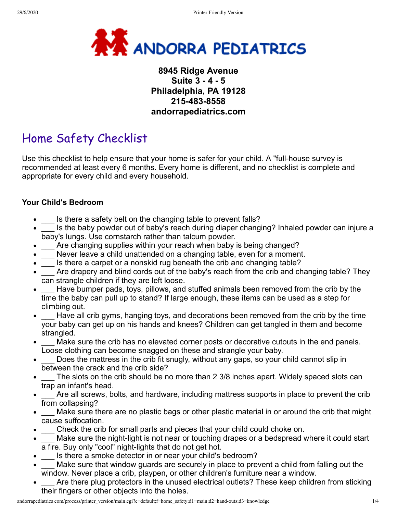

# **8945 Ridge Avenue Suite 3 - 4 - 5 Philadelphia, PA 19128 215-483-8558 andorrapediatrics.com**

# Home Safety Checklist

Use this checklist to help ensure that your home is safer for your child. A "full-house survey is recommended at least every 6 months. Every home is different, and no checklist is complete and appropriate for every child and every household.

#### **Your Child's Bedroom**

- \_\_\_ Is there a safety belt on the changing table to prevent falls?
- \_\_\_ Is the baby powder out of baby's reach during diaper changing? Inhaled powder can injure a baby's lungs. Use cornstarch rather than talcum powder.
- \_\_\_ Are changing supplies within your reach when baby is being changed?  $\bullet$
- \_\_\_ Never leave a child unattended on a changing table, even for a moment.
- \_\_\_ Is there a carpet or a nonskid rug beneath the crib and changing table?
- Are drapery and blind cords out of the baby's reach from the crib and changing table? They can strangle children if they are left loose.
- Have bumper pads, toys, pillows, and stuffed animals been removed from the crib by the time the baby can pull up to stand? If large enough, these items can be used as a step for climbing out.
- Have all crib gyms, hanging toys, and decorations been removed from the crib by the time your baby can get up on his hands and knees? Children can get tangled in them and become strangled.
- Make sure the crib has no elevated corner posts or decorative cutouts in the end panels. Loose clothing can become snagged on these and strangle your baby.
- \_\_\_ Does the mattress in the crib fit snugly, without any gaps, so your child cannot slip in between the crack and the crib side?
- The slots on the crib should be no more than 2 3/8 inches apart. Widely spaced slots can trap an infant's head.
- Are all screws, bolts, and hardware, including mattress supports in place to prevent the crib from collapsing?
- Make sure there are no plastic bags or other plastic material in or around the crib that might cause suffocation.
- $\_\_$ Check the crib for small parts and pieces that your child could choke on.
- \_\_\_ Make sure the night-light is not near or touching drapes or a bedspread where it could start a fire. Buy only "cool" night-lights that do not get hot.
- Is there a smoke detector in or near your child's bedroom?
- Make sure that window guards are securely in place to prevent a child from falling out the window. Never place a crib, playpen, or other children's furniture near a window.
- Are there plug protectors in the unused electrical outlets? These keep children from sticking their fingers or other objects into the holes.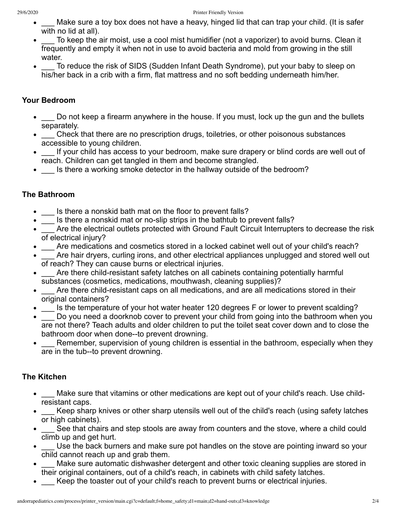- Make sure a toy box does not have a heavy, hinged lid that can trap your child. (It is safer with no lid at all).
- \_\_\_ To keep the air moist, use a cool mist humidifier (not a vaporizer) to avoid burns. Clean it frequently and empty it when not in use to avoid bacteria and mold from growing in the still water.
- To reduce the risk of SIDS (Sudden Infant Death Syndrome), put your baby to sleep on his/her back in a crib with a firm, flat mattress and no soft bedding underneath him/her.

#### **Your Bedroom**

- Do not keep a firearm anywhere in the house. If you must, lock up the gun and the bullets separately.
- Check that there are no prescription drugs, toiletries, or other poisonous substances accessible to young children.
- If your child has access to your bedroom, make sure drapery or blind cords are well out of reach. Children can get tangled in them and become strangled.
- \_\_\_ Is there a working smoke detector in the hallway outside of the bedroom?

## **The Bathroom**

- \_\_\_ Is there a nonskid bath mat on the floor to prevent falls?
- \_\_\_ Is there a nonskid mat or no-slip strips in the bathtub to prevent falls?
- Are the electrical outlets protected with Ground Fault Circuit Interrupters to decrease the risk  $\bullet$ of electrical injury?
- \_\_\_ Are medications and cosmetics stored in a locked cabinet well out of your child's reach?
- Are hair dryers, curling irons, and other electrical appliances unplugged and stored well out of reach? They can cause burns or electrical injuries.
- \_\_\_ Are there child-resistant safety latches on all cabinets containing potentially harmful substances (cosmetics, medications, mouthwash, cleaning supplies)?
- \_\_\_ Are there child-resistant caps on all medications, and are all medications stored in their original containers?
- \_\_\_ Is the temperature of your hot water heater 120 degrees F or lower to prevent scalding?
- \_\_\_ Do you need a doorknob cover to prevent your child from going into the bathroom when you are not there? Teach adults and older children to put the toilet seat cover down and to close the bathroom door when done--to prevent drowning.
- Remember, supervision of young children is essential in the bathroom, especially when they are in the tub--to prevent drowning.

### **The Kitchen**

- \_\_\_ Make sure that vitamins or other medications are kept out of your child's reach. Use childresistant caps.
- Keep sharp knives or other sharp utensils well out of the child's reach (using safety latches or high cabinets).
- \_\_\_ See that chairs and step stools are away from counters and the stove, where a child could climb up and get hurt.
- $\_\_$  Use the back burners and make sure pot handles on the stove are pointing inward so your child cannot reach up and grab them.
- Make sure automatic dishwasher detergent and other toxic cleaning supplies are stored in their original containers, out of a child's reach, in cabinets with child safety latches.
- \_\_\_ Keep the toaster out of your child's reach to prevent burns or electrical injuries.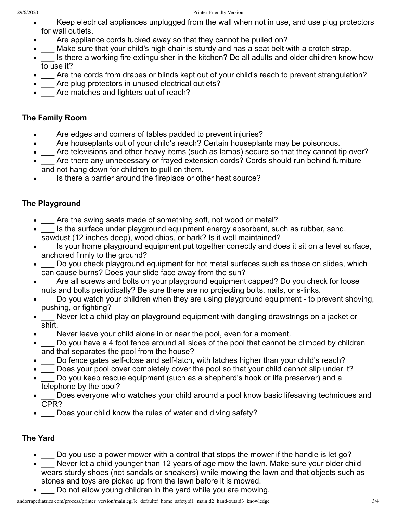- Keep electrical appliances unplugged from the wall when not in use, and use plug protectors for wall outlets.
- Are appliance cords tucked away so that they cannot be pulled on?
- Make sure that your child's high chair is sturdy and has a seat belt with a crotch strap.
- Is there a working fire extinguisher in the kitchen? Do all adults and older children know how  $\bullet$ to use it?
- Are the cords from drapes or blinds kept out of your child's reach to prevent strangulation?
- Are plug protectors in unused electrical outlets?
- Are matches and lighters out of reach?

## **The Family Room**

- Are edges and corners of tables padded to prevent injuries?
- \_\_\_ Are houseplants out of your child's reach? Certain houseplants may be poisonous.
- \_\_\_ Are televisions and other heavy items (such as lamps) secure so that they cannot tip over?
- Are there any unnecessary or frayed extension cords? Cords should run behind furniture and not hang down for children to pull on them.
- \_\_\_ Is there a barrier around the fireplace or other heat source?

# **The Playground**

- Are the swing seats made of something soft, not wood or metal?
- Is the surface under playground equipment energy absorbent, such as rubber, sand, sawdust (12 inches deep), wood chips, or bark? Is it well maintained?
- \_\_\_ Is your home playground equipment put together correctly and does it sit on a level surface, anchored firmly to the ground?
- $\_\_$  Do you check playground equipment for hot metal surfaces such as those on slides, which can cause burns? Does your slide face away from the sun?
- \_\_\_ Are all screws and bolts on your playground equipment capped? Do you check for loose nuts and bolts periodically? Be sure there are no projecting bolts, nails, or s-links.
- Do you watch your children when they are using playground equipment to prevent shoving, pushing, or fighting?
- \_\_\_ Never let a child play on playground equipment with dangling drawstrings on a jacket or shirt.
- Never leave your child alone in or near the pool, even for a moment.
- \_\_\_ Do you have a 4 foot fence around all sides of the pool that cannot be climbed by children and that separates the pool from the house?
- \_\_\_ Do fence gates self-close and self-latch, with latches higher than your child's reach?
- \_\_\_ Does your pool cover completely cover the pool so that your child cannot slip under it?
- \_\_\_ Do you keep rescue equipment (such as a shepherd's hook or life preserver) and a telephone by the pool?
- Does everyone who watches your child around a pool know basic lifesaving techniques and CPR?
- $\_\_$  Does your child know the rules of water and diving safety?

# **The Yard**

- \_\_ Do you use a power mower with a control that stops the mower if the handle is let go?
- \_\_\_ Never let a child younger than 12 years of age mow the lawn. Make sure your older child wears sturdy shoes (not sandals or sneakers) while mowing the lawn and that objects such as stones and toys are picked up from the lawn before it is mowed.
- Do not allow young children in the yard while you are mowing.